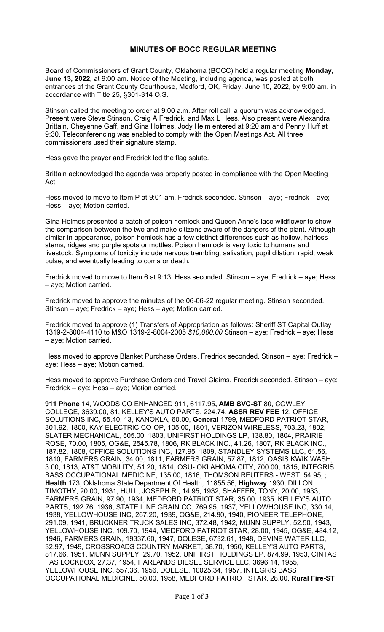## **MINUTES OF BOCC REGULAR MEETING**

Board of Commissioners of Grant County, Oklahoma (BOCC) held a regular meeting **Monday, June 13, 2022,** at 9:00 am. Notice of the Meeting, including agenda, was posted at both entrances of the Grant County Courthouse, Medford, OK, Friday, June 10, 2022, by 9:00 am. in accordance with Title 25, §301-314 O.S.

Stinson called the meeting to order at 9:00 a.m. After roll call, a quorum was acknowledged. Present were Steve Stinson, Craig A Fredrick, and Max L Hess. Also present were Alexandra Brittain, Cheyenne Gaff, and Gina Holmes. Jody Helm entered at 9:20 am and Penny Huff at 9:30. Teleconferencing was enabled to comply with the Open Meetings Act. All three commissioners used their signature stamp.

Hess gave the prayer and Fredrick led the flag salute.

Brittain acknowledged the agenda was properly posted in compliance with the Open Meeting Act.

Hess moved to move to Item P at 9:01 am. Fredrick seconded. Stinson – aye; Fredrick – aye; Hess – aye; Motion carried.

Gina Holmes presented a batch of poison hemlock and Queen Anne's lace wildflower to show the comparison between the two and make citizens aware of the dangers of the plant. Although similar in appearance, poison hemlock has a few distinct differences such as hollow, hairless stems, ridges and purple spots or mottles. Poison hemlock is very toxic to humans and livestock. Symptoms of toxicity include nervous trembling, salivation, pupil dilation, rapid, weak pulse, and eventually leading to coma or death.

Fredrick moved to move to Item 6 at 9:13. Hess seconded. Stinson – aye; Fredrick – aye; Hess – aye; Motion carried.

Fredrick moved to approve the minutes of the 06-06-22 regular meeting. Stinson seconded. Stinson – aye; Fredrick – aye; Hess – aye; Motion carried.

Fredrick moved to approve (1) Transfers of Appropriation as follows: Sheriff ST Capital Outlay 1319-2-8004-4110 to M&O 1319-2-8004-2005 *\$10,000.00* Stinson – aye; Fredrick – aye; Hess – aye; Motion carried.

Hess moved to approve Blanket Purchase Orders. Fredrick seconded. Stinson – aye; Fredrick – aye; Hess – aye; Motion carried.

Hess moved to approve Purchase Orders and Travel Claims. Fredrick seconded. Stinson – aye; Fredrick – aye; Hess – aye; Motion carried.

**911 Phone** 14, WOODS CO ENHANCED 911, 6117.95**, AMB SVC-ST** 80, COWLEY COLLEGE, 3639.00, 81, KELLEY'S AUTO PARTS, 224.74, **ASSR REV FEE** 12, OFFICE SOLUTIONS INC, 55.40, 13, KANOKLA, 60.00, **General** 1799, MEDFORD PATRIOT STAR, 301.92, 1800, KAY ELECTRIC CO-OP, 105.00, 1801, VERIZON WIRELESS, 703.23, 1802, SLATER MECHANICAL, 505.00, 1803, UNIFIRST HOLDINGS LP, 138.80, 1804, PRAIRIE ROSE, 70.00, 1805, OG&E, 2545.78, 1806, RK BLACK INC., 41.26, 1807, RK BLACK INC., 187.82, 1808, OFFICE SOLUTIONS INC, 127.95, 1809, STANDLEY SYSTEMS LLC, 61.56, 1810, FARMERS GRAIN, 34.00, 1811, FARMERS GRAIN, 57.87, 1812, OASIS KWIK WASH, 3.00, 1813, AT&T MOBILITY, 51.20, 1814, OSU- OKLAHOMA CITY, 700.00, 1815, INTEGRIS BASS OCCUPATIONAL MEDICINE, 135.00, 1816, THOMSON REUTERS - WEST, 54.95, ; **Health** 173, Oklahoma State Department Of Health, 11855.56, **Highway** 1930, DILLON, TIMOTHY, 20.00, 1931, HULL, JOSEPH R., 14.95, 1932, SHAFFER, TONY, 20.00, 1933, FARMERS GRAIN, 97.90, 1934, MEDFORD PATRIOT STAR, 35.00, 1935, KELLEY'S AUTO PARTS, 192.76, 1936, STATE LINE GRAIN CO, 769.95, 1937, YELLOWHOUSE INC, 330.14, 1938, YELLOWHOUSE INC, 267.20, 1939, OG&E, 214.90, 1940, PIONEER TELEPHONE, 291.09, 1941, BRUCKNER TRUCK SALES INC, 372.48, 1942, MUNN SUPPLY, 52.50, 1943, YELLOWHOUSE INC, 109.70, 1944, MEDFORD PATRIOT STAR, 28.00, 1945, OG&E, 484.12, 1946, FARMERS GRAIN, 19337.60, 1947, DOLESE, 6732.61, 1948, DEVINE WATER LLC, 32.97, 1949, CROSSROADS COUNTRY MARKET, 38.70, 1950, KELLEY'S AUTO PARTS, 817.66, 1951, MUNN SUPPLY, 29.70, 1952, UNIFIRST HOLDINGS LP, 874.99, 1953, CINTAS FAS LOCKBOX, 27.37, 1954, HARLANDS DIESEL SERVICE LLC, 3696.14, 1955, YELLOWHOUSE INC, 557.36, 1956, DOLESE, 10025.34, 1957, INTEGRIS BASS OCCUPATIONAL MEDICINE, 50.00, 1958, MEDFORD PATRIOT STAR, 28.00, **Rural Fire-ST**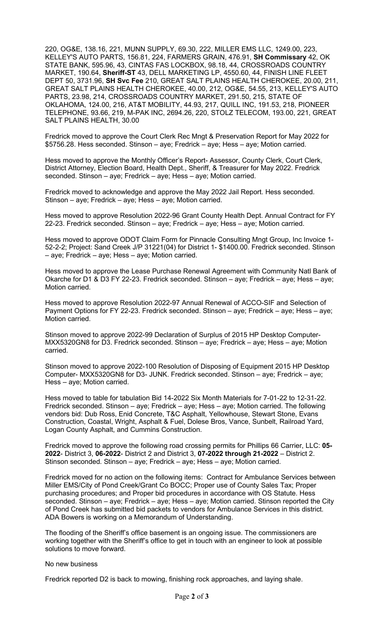220, OG&E, 138.16, 221, MUNN SUPPLY, 69.30, 222, MILLER EMS LLC, 1249.00, 223, KELLEY'S AUTO PARTS, 156.81, 224, FARMERS GRAIN, 476.91, **SH Commissary** 42, OK STATE BANK, 595.96, 43, CINTAS FAS LOCKBOX, 98.18, 44, CROSSROADS COUNTRY MARKET, 190.64, **Sheriff-ST** 43, DELL MARKETING LP, 4550.60, 44, FINISH LINE FLEET DEPT 50, 3731.96, **SH Svc Fee** 210, GREAT SALT PLAINS HEALTH CHEROKEE, 20.00, 211, GREAT SALT PLAINS HEALTH CHEROKEE, 40.00, 212, OG&E, 54.55, 213, KELLEY'S AUTO PARTS, 23.98, 214, CROSSROADS COUNTRY MARKET, 291.50, 215, STATE OF OKLAHOMA, 124.00, 216, AT&T MOBILITY, 44.93, 217, QUILL INC, 191.53, 218, PIONEER TELEPHONE, 93.66, 219, M-PAK INC, 2694.26, 220, STOLZ TELECOM, 193.00, 221, GREAT SALT PLAINS HEALTH, 30.00

Fredrick moved to approve the Court Clerk Rec Mngt & Preservation Report for May 2022 for \$5756.28. Hess seconded. Stinson – aye; Fredrick – aye; Hess – aye; Motion carried.

Hess moved to approve the Monthly Officer's Report- Assessor, County Clerk, Court Clerk, District Attorney, Election Board, Health Dept., Sheriff, & Treasurer for May 2022. Fredrick seconded. Stinson – aye; Fredrick – aye; Hess – aye; Motion carried.

Fredrick moved to acknowledge and approve the May 2022 Jail Report. Hess seconded. Stinson – aye; Fredrick – aye; Hess – aye; Motion carried.

Hess moved to approve Resolution 2022-96 Grant County Health Dept. Annual Contract for FY 22-23. Fredrick seconded. Stinson – aye; Fredrick – aye; Hess – aye; Motion carried.

Hess moved to approve ODOT Claim Form for Pinnacle Consulting Mngt Group, Inc Invoice 1- 52-2-2; Project: Sand Creek J/P 31221(04) for District 1- \$1400.00. Fredrick seconded. Stinson – aye; Fredrick – aye; Hess – aye; Motion carried.

Hess moved to approve the Lease Purchase Renewal Agreement with Community Natl Bank of Okarche for D1 & D3 FY 22-23. Fredrick seconded. Stinson – aye; Fredrick – aye; Hess – aye; Motion carried.

Hess moved to approve Resolution 2022-97 Annual Renewal of ACCO-SIF and Selection of Payment Options for FY 22-23. Fredrick seconded. Stinson – aye; Fredrick – aye; Hess – aye; Motion carried.

Stinson moved to approve 2022-99 Declaration of Surplus of 2015 HP Desktop Computer-MXX5320GN8 for D3. Fredrick seconded. Stinson – aye; Fredrick – aye; Hess – aye; Motion carried.

Stinson moved to approve 2022-100 Resolution of Disposing of Equipment 2015 HP Desktop Computer- MXX5320GN8 for D3- JUNK. Fredrick seconded. Stinson – aye; Fredrick – aye; Hess – aye; Motion carried.

Hess moved to table for tabulation Bid 14-2022 Six Month Materials for 7-01-22 to 12-31-22. Fredrick seconded. Stinson – aye; Fredrick – aye; Hess – aye; Motion carried. The following vendors bid: Dub Ross, Enid Concrete, T&C Asphalt, Yellowhouse, Stewart Stone, Evans Construction, Coastal, Wright, Asphalt & Fuel, Dolese Bros, Vance, Sunbelt, Railroad Yard, Logan County Asphalt, and Cummins Construction.

Fredrick moved to approve the following road crossing permits for Phillips 66 Carrier, LLC: **05- 2022**- District 3, **06-2022**- District 2 and District 3, **07-2022 through 21-2022** – District 2. Stinson seconded. Stinson – aye; Fredrick – aye; Hess – aye; Motion carried.

Fredrick moved for no action on the following items: Contract for Ambulance Services between Miller EMS/City of Pond Creek/Grant Co BOCC; Proper use of County Sales Tax; Proper purchasing procedures; and Proper bid procedures in accordance with OS Statute. Hess seconded. Stinson – aye; Fredrick – aye; Hess – aye; Motion carried. Stinson reported the City of Pond Creek has submitted bid packets to vendors for Ambulance Services in this district. ADA Bowers is working on a Memorandum of Understanding.

The flooding of the Sheriff's office basement is an ongoing issue. The commissioners are working together with the Sheriff's office to get in touch with an engineer to look at possible solutions to move forward.

## No new business

Fredrick reported D2 is back to mowing, finishing rock approaches, and laying shale.